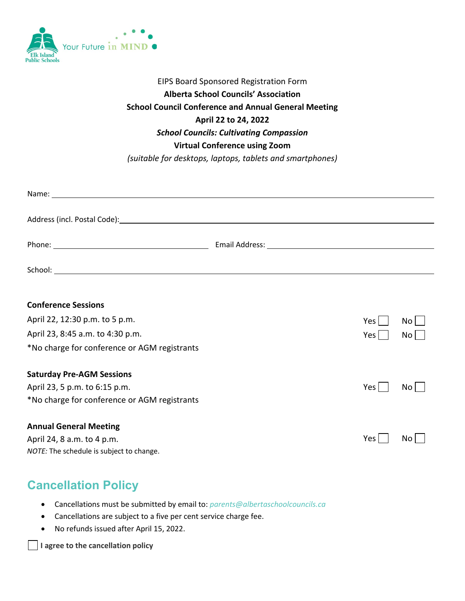

#### EIPS Board Sponsored Registration Form **Alberta School Councils' Association School Council Conference and Annual General Meeting April 22 to 24, 2022** *School Councils: Cultivating Compassion* **Virtual Conference using Zoom**  *(suitable for desktops, laptops, tablets and smartphones)*

| Address (incl. Postal Code): Manual Community of the Code of the Code of the Code of the Code of the Code of t |     |                 |
|----------------------------------------------------------------------------------------------------------------|-----|-----------------|
|                                                                                                                |     |                 |
|                                                                                                                |     |                 |
| <b>Conference Sessions</b>                                                                                     |     |                 |
| April 22, 12:30 p.m. to 5 p.m.                                                                                 | Yes | No <sub>1</sub> |
| April 23, 8:45 a.m. to 4:30 p.m.                                                                               | Yes | No <sub>1</sub> |
| *No charge for conference or AGM registrants                                                                   |     |                 |
| <b>Saturday Pre-AGM Sessions</b>                                                                               |     |                 |

 $Yes \Box No \Box$ 

 $Yes \Box No \Box$ 

April 23, 5 p.m. to 6:15 p.m. \*No charge for conference or AGM registrants

#### **Annual General Meeting**

April 24, 8 a.m. to 4 p.m. *NOTE:* The schedule is subject to change.

# **Cancellation Policy**

- Cancellations must be submitted by email to: *parents@albertaschoolcouncils.ca*
- Cancellations are subject to a five per cent service charge fee.
- No refunds issued after April 15, 2022.

**I agree to the cancellation policy**